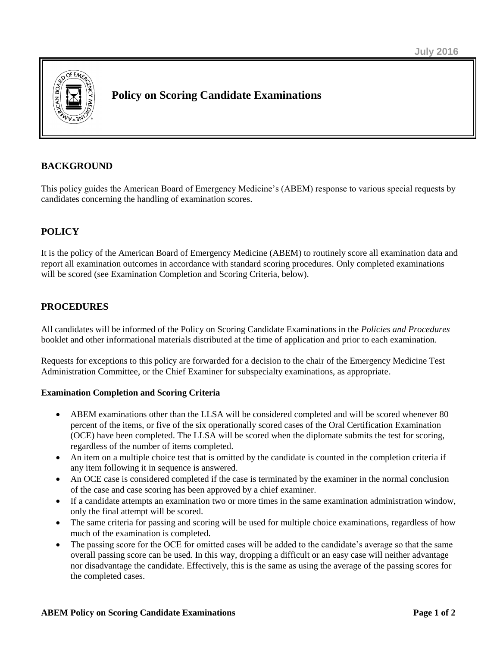

# **Policy on Scoring Candidate Examinations**

### **BACKGROUND**

This policy guides the American Board of Emergency Medicine's (ABEM) response to various special requests by candidates concerning the handling of examination scores.

# **POLICY**

It is the policy of the American Board of Emergency Medicine (ABEM) to routinely score all examination data and report all examination outcomes in accordance with standard scoring procedures. Only completed examinations will be scored (see Examination Completion and Scoring Criteria, below).

### **PROCEDURES**

All candidates will be informed of the Policy on Scoring Candidate Examinations in the *Policies and Procedures* booklet and other informational materials distributed at the time of application and prior to each examination.

Requests for exceptions to this policy are forwarded for a decision to the chair of the Emergency Medicine Test Administration Committee, or the Chief Examiner for subspecialty examinations, as appropriate.

#### **Examination Completion and Scoring Criteria**

- ABEM examinations other than the LLSA will be considered completed and will be scored whenever 80 percent of the items, or five of the six operationally scored cases of the Oral Certification Examination (OCE) have been completed. The LLSA will be scored when the diplomate submits the test for scoring, regardless of the number of items completed.
- An item on a multiple choice test that is omitted by the candidate is counted in the completion criteria if any item following it in sequence is answered.
- An OCE case is considered completed if the case is terminated by the examiner in the normal conclusion of the case and case scoring has been approved by a chief examiner.
- If a candidate attempts an examination two or more times in the same examination administration window, only the final attempt will be scored.
- The same criteria for passing and scoring will be used for multiple choice examinations, regardless of how much of the examination is completed.
- The passing score for the OCE for omitted cases will be added to the candidate's average so that the same overall passing score can be used. In this way, dropping a difficult or an easy case will neither advantage nor disadvantage the candidate. Effectively, this is the same as using the average of the passing scores for the completed cases.